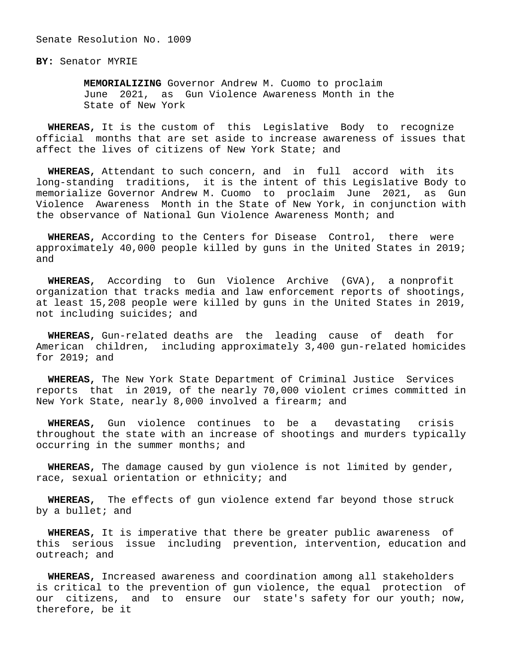Senate Resolution No. 1009

**BY:** Senator MYRIE

 **MEMORIALIZING** Governor Andrew M. Cuomo to proclaim June 2021, as Gun Violence Awareness Month in the State of New York

 **WHEREAS,** It is the custom of this Legislative Body to recognize official months that are set aside to increase awareness of issues that affect the lives of citizens of New York State; and

 **WHEREAS,** Attendant to such concern, and in full accord with its long-standing traditions, it is the intent of this Legislative Body to memorialize Governor Andrew M. Cuomo to proclaim June 2021, as Gun Violence Awareness Month in the State of New York, in conjunction with the observance of National Gun Violence Awareness Month; and

 **WHEREAS,** According to the Centers for Disease Control, there were approximately 40,000 people killed by guns in the United States in 2019; and

 **WHEREAS,** According to Gun Violence Archive (GVA), a nonprofit organization that tracks media and law enforcement reports of shootings, at least 15,208 people were killed by guns in the United States in 2019, not including suicides; and

 **WHEREAS,** Gun-related deaths are the leading cause of death for American children, including approximately 3,400 gun-related homicides for 2019; and

 **WHEREAS,** The New York State Department of Criminal Justice Services reports that in 2019, of the nearly 70,000 violent crimes committed in New York State, nearly 8,000 involved a firearm; and

 **WHEREAS,** Gun violence continues to be a devastating crisis throughout the state with an increase of shootings and murders typically occurring in the summer months; and

 **WHEREAS,** The damage caused by gun violence is not limited by gender, race, sexual orientation or ethnicity; and

 **WHEREAS,** The effects of gun violence extend far beyond those struck by a bullet; and

 **WHEREAS,** It is imperative that there be greater public awareness of this serious issue including prevention, intervention, education and outreach; and

 **WHEREAS,** Increased awareness and coordination among all stakeholders is critical to the prevention of gun violence, the equal protection of our citizens, and to ensure our state's safety for our youth; now, therefore, be it